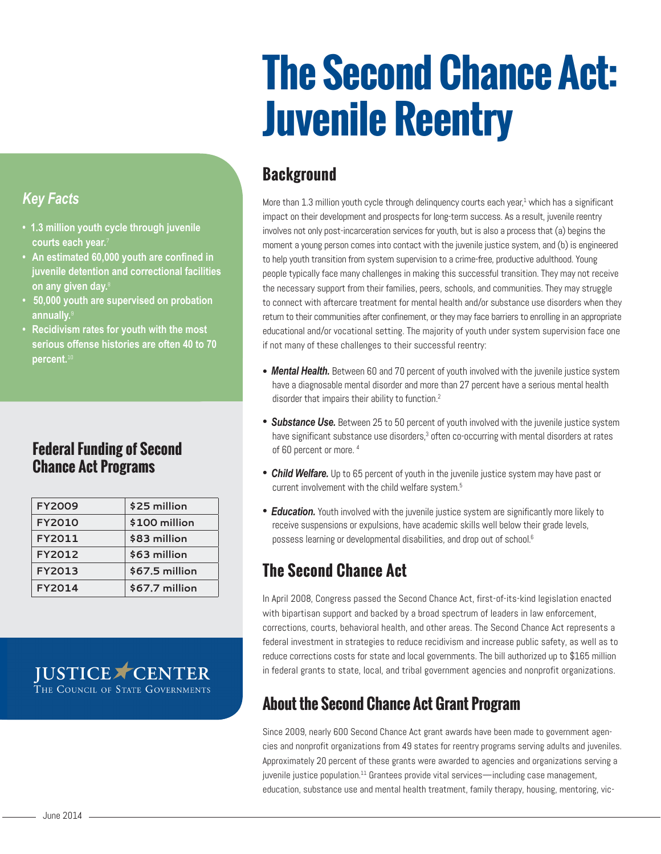# **The Second Chance Act: Juvenile Reentry**

# **Background**

More than 1.3 million youth cycle through delinquency courts each year,<sup>1</sup> which has a significant impact on their development and prospects for long-term success. As a result, juvenile reentry involves not only post-incarceration services for youth, but is also a process that (a) begins the moment a young person comes into contact with the juvenile justice system, and (b) is engineered to help youth transition from system supervision to a crime-free, productive adulthood. Young people typically face many challenges in making this successful transition. They may not receive the necessary support from their families, peers, schools, and communities. They may struggle to connect with aftercare treatment for mental health and/or substance use disorders when they return to their communities after confinement, or they may face barriers to enrolling in an appropriate educational and/or vocational setting. The majority of youth under system supervision face one if not many of these challenges to their successful reentry:

- **Mental Health.** Between 60 and 70 percent of youth involved with the juvenile justice system have a diagnosable mental disorder and more than 27 percent have a serious mental health disorder that impairs their ability to function.<sup>2</sup>
- **Substance Use.** Between 25 to 50 percent of youth involved with the juvenile justice system have significant substance use disorders,<sup>3</sup> often co-occurring with mental disorders at rates of 60 percent or more. [4](#page-1-2)
- *Child Welfare.* Up to 65 percent of youth in the juvenile justice system may have past or current involvement with the child welfare system.<sup>5</sup>
- *Education.* Youth involved with the juvenile justice system are significantly more likely to receive suspensions or expulsions, have academic skills well below their grade levels, possess learning or developmental disabilities, and drop out of school.<sup>6</sup>

# **The Second Chance Act**

In April 2008, Congress passed the Second Chance Act, first-of-its-kind legislation enacted with bipartisan support and backed by a broad spectrum of leaders in law enforcement, corrections, courts, behavioral health, and other areas. The Second Chance Act represents a federal investment in strategies to reduce recidivism and increase public safety, as well as to reduce corrections costs for state and local governments. The bill authorized up to \$165 million in federal grants to state, local, and tribal government agencies and nonprofit organizations.

# **About the Second Chance Act Grant Program**

Since 2009, nearly 600 Second Chance Act grant awards have been made to government agencies and nonprofit organizations from 49 states for reentry programs serving adults and juveniles. Approximately 20 percent of these grants were awarded to agencies and organizations serving a  $j$  juvenile justice population.<sup>11</sup> Grantees provide vital services—including case management, education, substance use and mental health treatment, family therapy, housing, mentoring, vic-

### *Key Facts*

- **1.3 million youth cycle through juvenile courts each year.**[7](#page-1-5)
- **• An estimated 60,000 youth are confined in juvenile detention and correctional facilities on any given day.**[8](#page-1-6)
- **50,000 youth are supervised on probation annually.**[9](#page-1-7)
- **• Recidivism rates for youth with the most serious offense histories are often 40 to 70 percent.**<sup>10</sup>

#### **Federal Funding of Second Chance Act Programs**

| <b>FY2009</b> | \$25 million   |
|---------------|----------------|
| <b>FY2010</b> | \$100 million  |
| FY2011        | \$83 million   |
| FY2012        | \$63 million   |
| FY2013        | \$67.5 million |
| <b>FY2014</b> | \$67.7 million |